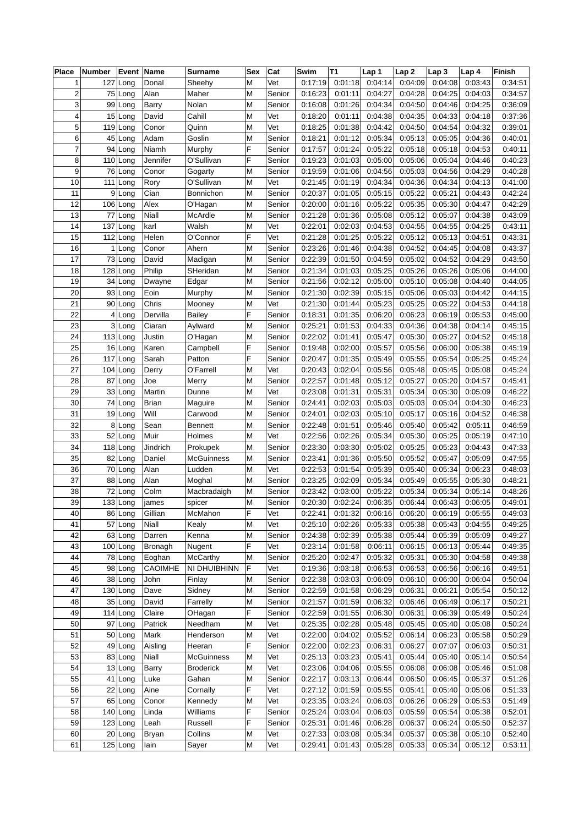| <b>Place</b>   | <b>Number</b> | Event Name           |                 | Surname               | Sex    | Cat              | Swim    | T1      | Lap 1              | Lap <sub>2</sub> | Lap <sub>3</sub>   | Lap 4   | Finish             |
|----------------|---------------|----------------------|-----------------|-----------------------|--------|------------------|---------|---------|--------------------|------------------|--------------------|---------|--------------------|
| 1              |               | 127 Long             | Donal           | Sheehy                | M      | Vet              | 0:17:19 | 0:01:18 | 0:04:14            | 0:04:09          | 0:04:08            | 0:03:43 | 0:34:51            |
| $\overline{c}$ |               | 75 Long              | Alan            | Maher                 | M      | Senior           | 0:16:23 | 0:01:11 | 0:04:27            | 0:04:28          | 0:04:25            | 0:04:03 | 0:34:57            |
| 3              |               | 99 Long              | <b>Barry</b>    | Nolan                 | M      | Senior           | 0:16:08 | 0:01:26 | 0:04:34            | 0:04:50          | 0:04:46            | 0:04:25 | 0:36:09            |
| 4              |               | 15 Long              | David           | Cahill                | M      | Vet              | 0:18:20 | 0:01:11 | 0:04:38            | 0:04:35          | 0:04:33            | 0:04:18 | 0:37:36            |
| 5              | 119           | Long                 | Conor           | Quinn                 | M      | Vet              | 0:18:25 | 0:01:38 | 0:04:42            | 0:04:50          | 0:04:54            | 0:04:32 | 0:39:01            |
| 6              |               | 45 Long              | Adam            | Goslin                | M      | Senior           | 0:18:21 | 0:01:12 | 0:05:34            | 0:05:13          | 0:05:05            | 0:04:36 | 0:40:01            |
| $\overline{7}$ |               | 94 Long              | Niamh           | Murphy                | F      | Senior           | 0:17:57 | 0:01:24 | 0:05:22            | 0:05:18          | 0:05:18            | 0:04:53 | 0:40:11            |
| 8              |               | 110 Long             | Jennifer        | O'Sullivan            | F      | Senior           | 0:19:23 | 0:01:03 | 0:05:00            | 0:05:06          | 0:05:04            | 0:04:46 | 0:40:23            |
| 9              |               | 76 Long              | Conor           | Gogarty               | M      | Senior           | 0:19:59 | 0:01:06 | 0:04:56            | 0:05:03          | 0:04:56            | 0:04:29 | 0:40:28            |
| 10             |               | 111 Long             | Rory            | O'Sullivan            | M      | Vet              | 0:21:45 | 0:01:19 | 0:04:34            | 0:04:36          | 0:04:34            | 0:04:13 | 0:41:00            |
| 11             | 9             | Long                 | Cian            | Bonnichon             | M      | Senior           | 0:20:37 | 0:01:05 | 0:05:15            | 0:05:22          | 0:05:21            | 0:04:43 | 0:42:24            |
| 12             |               | 106 Long             | Alex            | O'Hagan               | M      | Senior           | 0:20:00 | 0:01:16 | 0:05:22            | 0:05:35          | 0:05:30            | 0:04:47 | 0:42:29            |
| 13             | 77            | Long                 | Niall           | McArdle               | M      | Senior           | 0:21:28 | 0:01:36 | 0:05:08            | 0:05:12          | 0:05:07            | 0:04:38 | 0:43:09            |
| 14             |               | 137 Long             | karl            | Walsh                 | M      | Vet              | 0:22:01 | 0:02:03 | 0:04:53            | 0:04:55          | 0:04:55            | 0:04:25 | 0:43:11            |
| 15             |               | 112 Long             | Helen           | O'Connor              | F      | Vet              | 0:21:28 | 0:01:25 | 0:05:22            | 0:05:12          | 0:05:13            | 0:04:51 | 0:43:31            |
| 16             |               | $1$ Long             | Conor           | Ahern                 | M      | Senior           | 0:23:26 | 0:01:46 | 0:04:38            | 0:04:52          | 0:04:45            | 0:04:08 | 0:43:37            |
| 17             |               | 73 Long              | David           | Madigan               | M      | Senior           | 0:22:39 | 0:01:50 | 0:04:59            | 0:05:02          | 0:04:52            | 0:04:29 | 0:43:50            |
| 18             |               | 128 Long             | Philip          | SHeridan              | M      | Senior           | 0:21:34 | 0:01:03 | 0:05:25            | 0:05:26          | 0:05:26            | 0:05:06 | 0:44:00            |
| 19             |               | 34 Long              | Dwayne          | Edgar                 | M      | Senior           | 0:21:56 | 0:02:12 | 0:05:00            | 0:05:10          | 0:05:08            | 0:04:40 | 0:44:05            |
| 20             |               | 93 Long              | Eoin            | Murphy                | M      | Senior           | 0:21:30 | 0:02:39 | 0:05:15            | 0:05:06          | 0:05:03            | 0:04:42 | 0:44:15            |
| 21             |               | 90 Long              | Chris           | Mooney                | M      | Vet              | 0:21:30 | 0:01:44 | 0:05:23            | 0:05:25          | 0:05:22            | 0:04:53 | 0:44:18            |
| 22             | 4             | Long                 | Dervilla        | <b>Bailey</b>         | F      | Senior           | 0:18:31 | 0:01:35 | 0:06:20            | 0:06:23          | 0:06:19            | 0:05:53 | 0:45:00            |
| 23             | 3             | Long                 | Ciaran          | Aylward               | M      | Senior           | 0:25:21 | 0:01:53 | 0:04:33            | 0:04:36          | 0:04:38            | 0:04:14 | 0:45:15            |
| 24             |               | 113 Long             | Justin          | O'Hagan               | M      | Senior           | 0:22:02 | 0:01:41 | 0:05:47            | 0:05:30          | 0:05:27            | 0:04:52 | 0:45:18            |
| 25             |               | 16 Long              | Karen           | Campbell              | F      | Senior           | 0:19:48 | 0:02:00 | 0:05:57            | 0:05:56          | 0:06:00            | 0:05:38 | 0:45:19            |
| 26             |               | 117 Long             | Sarah           | Patton                | F      | Senior           | 0:20:47 | 0:01:35 | 0:05:49            | 0:05:55          | 0:05:54            | 0:05:25 | 0:45:24            |
| 27             |               | 104 Long             | Derry           | O'Farrell             | M      | Vet              | 0:20:43 | 0:02:04 | 0:05:56            | 0:05:48          | 0:05:45            | 0:05:08 | 0:45:24            |
| 28             | 87            | Long                 | Joe             | Merry                 | M      | Senior           | 0:22:57 | 0:01:48 | 0:05:12            | 0:05:27          | 0:05:20            | 0:04:57 | 0:45:41            |
| 29             |               | 33 Long              | Martin          | Dunne                 | M      | Vet              | 0:23:08 | 0:01:31 | 0:05:31            | 0:05:34          | 0:05:30            | 0:05:09 | 0:46:22            |
| 30             |               | 74 Long              | <b>Brian</b>    | Maguire               | M      | Senior           | 0:24:41 | 0:02:03 | 0:05:03            | 0:05:03          | 0:05:04            | 0:04:30 | 0:46:23            |
| 31             |               | 19 Long              | Will            | Carwood               | M      | Senior           | 0:24:01 | 0:02:03 | 0:05:10            | 0:05:17          | 0:05:16            | 0:04:52 | 0:46:38            |
| 32             |               | 8 Long               | Sean            | <b>Bennett</b>        | M      | Senior           | 0:22:48 | 0:01:51 | 0:05:46            | 0:05:40          | 0:05:42            | 0:05:11 | 0:46:59            |
| 33             |               | 52 Long              | Muir            | Holmes                | M      | Vet              | 0:22:56 | 0:02:26 | 0:05:34            | 0:05:30          | 0:05:25            | 0:05:19 | 0:47:10            |
| 34             |               | 118 Long             | <b>Jindrich</b> | Prokupek              | M      | Senior           | 0:23:30 | 0:03:30 | 0:05:02            | 0:05:25          | 0:05:23            | 0:04:43 | 0:47:33            |
| 35             |               | $\overline{82}$ Long | Daniel          | <b>McGuinness</b>     | M      | Senior           | 0:23:41 | 0:01:36 | 0:05:50            | 0:05:52          | 0:05:47            | 0:05:09 | 0:47:55            |
| 36             |               | 70 Long              | Alan            | Ludden                | M      | Vet              | 0:22:53 | 0:01:54 | 0:05:39            | 0:05:40          | 0:05:34            | 0:06:23 | 0:48:03            |
| 37             |               | 88 Long              | Alan            |                       |        |                  | 0:23:25 | 0:02:09 | 0:05:34            | 0:05:49          | 0:05:55            | 0:05:30 | 0:48:21            |
| 38             |               | 72 Long              | Colm            | Moghal<br>Macbradaigh | M<br>M | Senior<br>Senior | 0:23:42 | 0:03:00 | 0:05:22            | 0:05:34          | 0:05:34            | 0:05:14 | 0:48:26            |
| 39             |               | $133$ Long           |                 |                       | M      |                  | 0:20:30 | 0:02:24 | 0:06:35            | 0:06:44          | 0:06:43            | 0:06:05 | 0:49:01            |
|                |               |                      | james           | spicer                | F      | Senior           |         |         |                    |                  |                    |         |                    |
| 40             |               | 86 Long              | Gillian         | McMahon               |        | Vet              | 0:22:41 | 0:01:32 | 0:06:16<br>0:05:33 | 0:06:20          | 0:06:19<br>0:05:43 | 0:05:55 | 0:49:03            |
| 41             |               | 57 Long              | Niall           | Kealy                 | M      | Vet              | 0:25:10 | 0:02:26 | 0:05:38            | 0:05:38          |                    | 0:04:55 | 0:49:25<br>0:49:27 |
| 42             |               | 63 Long              | Darren          | Kenna                 | M      | Senior           | 0:24:38 | 0:02:39 |                    | 0:05:44          | 0:05:39            | 0:05:09 |                    |
| 43             |               | 100 Long             | Bronagh         | Nugent                | F      | Vet              | 0:23:14 | 0:01:58 | 0:06:11            | 0:06:15          | 0:06:13            | 0:05:44 | 0:49:35            |
| 44             |               | 78 Long              | Eoghan          | <b>McCarthy</b>       | M      | Senior           | 0:25:20 | 0:02:47 | 0:05:32            | 0:05:31          | 0:05:30            | 0:04:58 | 0:49:38            |
| 45             |               | 98 Long              | CAOIMHE         | NI DHUIBHINN          | F      | Vet              | 0:19:36 | 0:03:18 | 0:06:53            | 0:06:53          | 0:06:56            | 0:06:16 | 0:49:51            |
| 46             |               | 38 Long              | John            | Finlay                | M      | Senior           | 0:22:38 | 0:03:03 | 0:06:09            | 0:06:10          | 0:06:00            | 0:06:04 | 0:50:04            |
| 47             |               | $130$ Long           | Dave            | Sidney                | M      | Senior           | 0:22:59 | 0:01:58 | 0:06:29            | 0:06:31          | 0:06:21            | 0:05:54 | 0:50:12            |
| 48             |               | 35 Long              | David           | Farrelly              | M      | Senior           | 0:21:57 | 0:01:59 | 0:06:32            | 0:06:46          | 0:06:49            | 0:06:17 | 0:50:21            |
| 49             |               | 114 Long             | Claire          | OHagan                | F      | Senior           | 0:22:59 | 0:01:55 | 0:06:30            | 0:06:31          | 0:06:39            | 0:05:49 | 0:50:24            |
| 50             |               | 97 Long              | Patrick         | Needham               | M      | Vet              | 0:25:35 | 0:02:28 | 0:05:48            | 0:05:45          | 0:05:40            | 0:05:08 | 0:50:24            |
| 51             |               | 50 Long              | Mark            | Henderson             | M      | Vet              | 0:22:00 | 0:04:02 | 0:05:52            | 0:06:14          | 0:06:23            | 0:05:58 | 0:50:29            |
| 52             |               | 49 Long              | Aisling         | Heeran                | F      | Senior           | 0:22:00 | 0:02:23 | 0:06:31            | 0:06:27          | 0:07:07            | 0:06:03 | 0:50:31            |
| 53             |               | 83 Long              | Niall           | <b>McGuinness</b>     | M      | Vet              | 0:25:13 | 0:03:23 | 0:05:41            | 0:05:44          | 0:05:40            | 0:05:14 | 0:50:54            |
| 54             |               | 13 Long              | Barry           | <b>Broderick</b>      | M      | Vet              | 0:23:06 | 0:04:06 | 0:05:55            | 0:06:08          | 0:06:08            | 0:05:46 | 0:51:08            |
| 55             |               | 41 Long              | Luke            | Gahan                 | M      | Senior           | 0:22:17 | 0:03:13 | 0:06:44            | 0:06:50          | 0:06:45            | 0:05:37 | 0:51:26            |
| 56             |               | 22 Long              | Aine            | Cornally              | F      | Vet              | 0:27:12 | 0:01:59 | 0:05:55            | 0:05:41          | 0:05:40            | 0:05:06 | 0:51:33            |
| 57             |               | 65 Long              | Conor           | Kennedy               | M      | Vet              | 0:23:35 | 0:03:24 | 0:06:03            | 0:06:26          | 0:06:29            | 0:05:53 | 0:51:49            |
| 58             |               | 140 Long             | Linda           | Williams              | F      | Senior           | 0:25:24 | 0:03:04 | 0:06:03            | 0:05:59          | 0:05:54            | 0:05:38 | 0:52:01            |
| 59             |               | 123 Long             | Leah            | Russell               | F      | Senior           | 0:25:31 | 0:01:46 | 0:06:28            | 0:06:37          | 0:06:24            | 0:05:50 | 0:52:37            |
| 60             |               | 20 Long              | <b>Bryan</b>    | Collins               | M      | Vet              | 0:27:33 | 0:03:08 | 0:05:34            | 0:05:37          | 0:05:38            | 0:05:10 | 0:52:40            |
| 61             |               | 125 Long             | lain            | Sayer                 | M      | Vet              | 0:29:41 | 0:01:43 | 0:05:28            | 0:05:33          | 0:05:34            | 0:05:12 | 0:53:11            |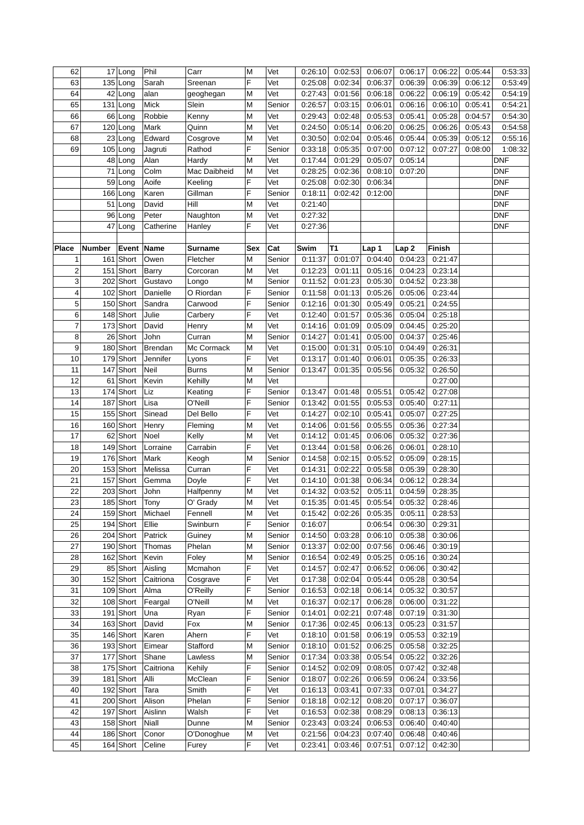| 62                      |        | 17 Long   | Phil      | Carr         | M      | Vet    | 0:26:10 | 0:02:53             | 0:06:07 | 0:06:17          | 0:06:22            | 0:05:44 | 0:53:33    |
|-------------------------|--------|-----------|-----------|--------------|--------|--------|---------|---------------------|---------|------------------|--------------------|---------|------------|
| 63                      |        | 135 Long  | Sarah     | Sreenan      | F      | Vet    | 0.25:08 | 0:02:34             | 0:06:37 | 0:06:39          | 0:06:39            | 0:06:12 | 0:53:49    |
| 64                      |        | 42 Long   | alan      | geoghegan    | М      | Vet    | 0:27:43 | 0:01:56             | 0:06:18 | 0:06:22          | 0:06:19            | 0:05:42 | 0:54:19    |
| 65                      |        | 131 Long  | Mick      | Slein        | M      | Senior | 0:26:57 | 0:03:15             | 0:06:01 | 0:06:16          | 0:06:10            | 0:05:41 | 0:54:21    |
| 66                      |        | 66 Long   | Robbie    | Kenny        | М      | Vet    | 0:29:43 | 0:02:48             | 0:05:53 | 0:05:41          | 0:05:28            | 0:04:57 | 0:54:30    |
| 67                      |        | 120 Long  | Mark      | Quinn        | M      | Vet    | 0:24:50 | 0:05:14             | 0:06:20 | 0:06:25          | 0:06:26            | 0:05:43 | 0:54:58    |
| 68                      |        | 23 Long   | Edward    | Cosgrove     | M      | Vet    | 0:30:50 | 0:02:04             | 0:05:46 | 0:05:44          | 0:05:39            | 0:05:12 | 0:55:16    |
| 69                      |        | 105 Long  | Jagruti   | Rathod       | F      | Senior | 0:33:18 | 0:05:35             | 0:07:00 | 0:07:12          | 0:07:27            | 0:08:00 | 1:08:32    |
|                         |        | 48 Long   | Alan      | Hardy        | M      | Vet    | 0:17:44 | 0:01:29             | 0:05:07 | 0:05:14          |                    |         | <b>DNF</b> |
|                         |        | 71 Long   | Colm      | Mac Daibheid | M      | Vet    | 0:28:25 | 0:02:36             | 0:08:10 | 0:07:20          |                    |         | <b>DNF</b> |
|                         |        | 59 Long   | Aoife     | Keeling      | F      | Vet    | 0.25:08 | 0:02:30             | 0:06:34 |                  |                    |         | <b>DNF</b> |
|                         |        | 166 Long  | Karen     | Gillman      | F      | Senior | 0:18:11 | 0:02:42             | 0:12:00 |                  |                    |         | <b>DNF</b> |
|                         |        |           | David     | Hill         | M      | Vet    | 0:21:40 |                     |         |                  |                    |         | <b>DNF</b> |
|                         |        | 51 Long   |           |              |        |        |         |                     |         |                  |                    |         |            |
|                         |        | 96 Long   | Peter     | Naughton     | M<br>F | Vet    | 0:27:32 |                     |         |                  |                    |         | <b>DNF</b> |
|                         |        | 47 Long   | Catherine | Hanley       |        | Vet    | 0:27:36 |                     |         |                  |                    |         | <b>DNF</b> |
|                         |        |           |           |              |        |        |         |                     |         |                  |                    |         |            |
| <b>Place</b>            | Number | Event     | Name      | Surname      | Sex    | Cat    | Swim    | T1                  | Lap 1   | Lap <sub>2</sub> | Finish<br>0:21:47  |         |            |
| 1                       |        | 161 Short | Owen      | Fletcher     | Μ      | Senior | 0:11:37 | 0:01:07             | 0:04:40 | 0:04:23          |                    |         |            |
| $\overline{\mathbf{c}}$ |        | 151 Short | Barry     | Corcoran     | M      | Vet    | 0:12:23 | 0:01:11             | 0:05:16 | 0:04:23          | 0:23:14            |         |            |
| 3                       |        | 202 Short | Gustavo   | Longo        | M      | Senior | 0:11:52 | 0:01:23             | 0:05:30 | 0:04:52          | 0:23:38            |         |            |
| 4                       |        | 102 Short | Danielle  | O Riordan    | F      | Senior | 0:11:58 | 0:01:13             | 0:05:26 | 0:05:06          | 0:23:44            |         |            |
| 5                       |        | 150 Short | Sandra    | Carwood      | F      | Senior | 0:12:16 | 0:01:30             | 0:05:49 | 0:05:21          | 0:24:55            |         |            |
| 6                       |        | 148 Short | Julie     | Carbery      | F      | Vet    | 0:12:40 | 0:01:57             | 0:05:36 | 0:05:04          | 0:25:18            |         |            |
| 7                       |        | 173 Short | David     | Henry        | M      | Vet    | 0:14:16 | 0:01:09             | 0:05:09 | 0:04:45          | 0:25:20            |         |            |
| 8                       |        | 26 Short  | John      | Curran       | M      | Senior | 0:14:27 | 0:01:41             | 0:05:00 | 0:04:37          | 0:25:46            |         |            |
| 9                       |        | 180 Short | Brendan   | Mc Cormack   | Μ      | Vet    | 0:15:00 | 0:01:31             | 0:05:10 | 0:04:49          | 0:26:31            |         |            |
| 10                      |        | 179 Short | Jennifer  | Lyons        | F      | Vet    | 0:13:17 | 0:01:40             | 0:06:01 | 0:05:35          | 0:26:33            |         |            |
| 11                      |        | 147 Short | Neil      | <b>Burns</b> | M      | Senior | 0:13:47 | 0:01:35             | 0:05:56 | 0:05:32          | 0:26:50            |         |            |
| 12                      | 61     | Short     | Kevin     | Kehilly      | M      | Vet    |         |                     |         |                  | 0:27:00            |         |            |
| 13                      |        | 174 Short | Liz       | Keating      | F      | Senior | 0:13:47 | 0:01:48             | 0:05:51 | 0:05:42          | 0:27:08            |         |            |
| 14                      |        | 187 Short | Lisa      | O'Neill      | F      | Senior | 0:13:42 | 0:01:55             | 0:05:53 | 0:05:40          | 0:27:11            |         |            |
| 15                      |        | 155 Short | Sinead    | Del Bello    | F      | Vet    | 0:14:27 | 0:02:10             | 0:05:41 | 0:05:07          | 0:27:25            |         |            |
| 16                      |        | 160 Short | Henry     | Fleming      | M      | Vet    | 0:14:06 | 0:01:56             | 0:05:55 | 0:05:36          | 0:27:34            |         |            |
| 17                      |        | 62 Short  | Noel      | Kelly        | M      | Vet    | 0:14:12 | 0:01:45             | 0:06:06 | 0:05:32          | 0:27:36            |         |            |
| 18                      |        | 149 Short | Lorraine  | Carrabin     | F      | Vet    | 0:13:44 | 0:01:58             | 0:06:26 | 0:06:01          | 0:28:10            |         |            |
| 19                      |        | 176 Short | Mark      | Keogh        | M      | Senior | 0:14:58 | 0:02:15             | 0:05:52 | 0:05:09          | 0:28:15            |         |            |
| 20                      |        | 153 Short | Melissa   | Curran       | F      | Vet    | 0:14:31 | 0:02:22             | 0:05:58 | 0:05:39          | 0:28:30            |         |            |
| 21                      | 157    | Short     | Gemma     | Doyle        | F      | Vet    | 0:14:10 | 0:01:38             | 0:06:34 | 0:06:12          | 0:28:34            |         |            |
| 22                      |        | 203 Short | John      | Halfpenny    | М      | Vet    | 0:14:32 | 0:03:52             | 0:05:11 | 0:04:59          | 0:28:35            |         |            |
| 23                      |        | 185 Short | Tony      | O' Grady     | M      | Vet    |         | $0:15:35$ $0:01:45$ | 0:05:54 | 0:05:32          | 0:28:46            |         |            |
| 24                      |        | 159 Short | Michael   | Fennell      | М      | Vet    | 0:15:42 | 0:02:26             | 0:05:35 | 0:05:11          | 0:28:53            |         |            |
| 25                      |        | 194 Short | Ellie     | Swinburn     | F      | Senior | 0:16:07 |                     | 0:06:54 | 0:06:30          | 0:29:31            |         |            |
| 26                      |        | 204 Short | Patrick   | Guiney       | М      | Senior | 0:14:50 | 0:03:28             | 0:06:10 | 0:05:38          | 0:30:06            |         |            |
| 27                      |        | 190 Short | Thomas    | Phelan       | М      | Senior | 0:13:37 | 0:02:00             | 0:07:56 | 0:06:46          | 0:30:19            |         |            |
| 28                      |        | 162 Short | Kevin     | Foley        | М      | Senior | 0:16:54 | 0:02:49             | 0:05:25 | 0:05:16          | 0:30:24            |         |            |
| 29                      |        | 85 Short  | Aisling   | Mcmahon      | F      | Vet    | 0:14:57 | 0:02:47             | 0:06:52 | 0:06:06          | 0:30:42            |         |            |
| 30                      |        | 152 Short | Caitriona | Cosgrave     | F      | Vet    | 0:17:38 | 0:02:04             | 0:05:44 | 0:05:28          | 0:30:54            |         |            |
| 31                      |        | 109 Short | Alma      | O'Reilly     | F      | Senior | 0:16:53 | 0:02:18             | 0:06:14 | 0:05:32          | 0:30:57            |         |            |
| 32                      |        | 108 Short | Feargal   | O'Neill      | М      | Vet    | 0:16:37 | 0:02:17             | 0:06:28 | 0:06:00          | 0:31:22            |         |            |
| 33                      |        | 191 Short | Una       | Ryan         | F      | Senior | 0:14:01 | 0:02:21             | 0:07:48 | 0:07:19          | 0:31:30            |         |            |
| 34                      |        | 163 Short | David     | Fox          | M      | Senior | 0:17:36 | 0:02:45             | 0:06:13 | 0:05:23          | 0:31:57            |         |            |
| 35                      |        | 146 Short |           |              | F      | Vet    |         |                     | 0:06:19 |                  |                    |         |            |
| 36                      |        |           | Karen     | Ahern        |        |        | 0:18:10 | 0:01:58             | 0:06:25 | 0:05:53          | 0:32:19<br>0:32:25 |         |            |
|                         |        | 193 Short | Eimear    | Stafford     | Μ      | Senior | 0:18:10 | 0:01:52             |         | 0:05:58          |                    |         |            |
| 37                      |        | 177 Short | Shane     | Lawless      | М      | Senior | 0:17:34 | 0:03:38             | 0:05:54 | 0:05:22          | 0:32:26            |         |            |
| 38                      |        | 175 Short | Caitriona | Kehily       | F      | Senior | 0:14:52 | 0:02:09             | 0:08:05 | 0:07:42          | 0.32:48            |         |            |
| 39                      |        | 181 Short | Alli      | McClean      | F      | Senior | 0:18:07 | 0:02:26             | 0:06:59 | 0:06:24          | 0:33:56            |         |            |
| 40                      |        | 192 Short | Tara      | Smith        | F      | Vet    | 0:16:13 | 0:03:41             | 0:07:33 | 0:07:01          | 0:34:27            |         |            |
| 41                      |        | 200 Short | Alison    | Phelan       | F      | Senior | 0:18:18 | 0:02:12             | 0:08:20 | 0:07:17          | 0:36:07            |         |            |
| 42                      |        | 197 Short | Aislinn   | Walsh        | F      | Vet    | 0:16:53 | 0:02:38             | 0:08:29 | 0:08:13          | 0:36:13            |         |            |
| 43                      |        | 158 Short | Niall     | Dunne        | M      | Senior | 0.23:43 | 0:03:24             | 0:06:53 | 0:06:40          | 0.40:40            |         |            |
| 44                      |        | 186 Short | Conor     | O'Donoghue   | М      | Vet    | 0:21:56 | 0:04:23             | 0:07:40 | 0.06:48          | 0.40.46            |         |            |
| 45                      |        | 164 Short | Celine    | Furey        | F      | Vet    | 0.23:41 | 0:03:46             | 0:07:51 | 0:07:12          | 0.42:30            |         |            |